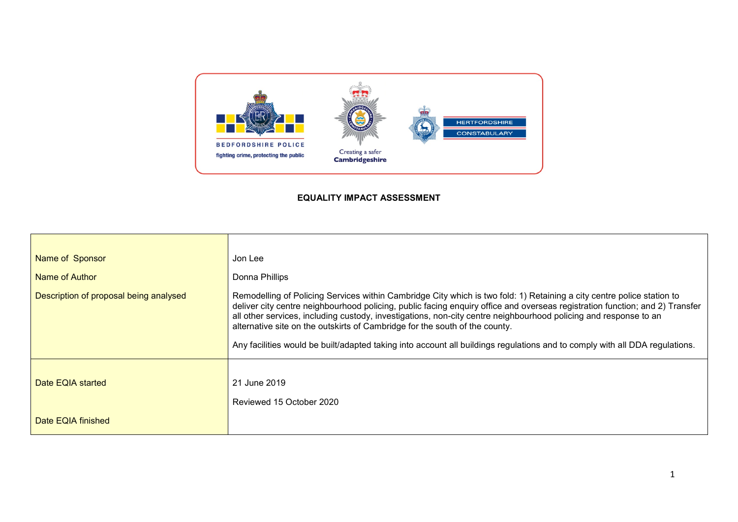

# **EQUALITY IMPACT ASSESSMENT**

| Name of Sponsor<br>Name of Author<br>Description of proposal being analysed | Jon Lee<br>Donna Phillips<br>Remodelling of Policing Services within Cambridge City which is two fold: 1) Retaining a city centre police station to<br>deliver city centre neighbourhood policing, public facing enquiry office and overseas registration function; and 2) Transfer<br>all other services, including custody, investigations, non-city centre neighbourhood policing and response to an<br>alternative site on the outskirts of Cambridge for the south of the county.<br>Any facilities would be built/adapted taking into account all buildings regulations and to comply with all DDA regulations. |
|-----------------------------------------------------------------------------|-----------------------------------------------------------------------------------------------------------------------------------------------------------------------------------------------------------------------------------------------------------------------------------------------------------------------------------------------------------------------------------------------------------------------------------------------------------------------------------------------------------------------------------------------------------------------------------------------------------------------|
| Date EQIA started                                                           | 21 June 2019                                                                                                                                                                                                                                                                                                                                                                                                                                                                                                                                                                                                          |
| Date EQIA finished                                                          | Reviewed 15 October 2020                                                                                                                                                                                                                                                                                                                                                                                                                                                                                                                                                                                              |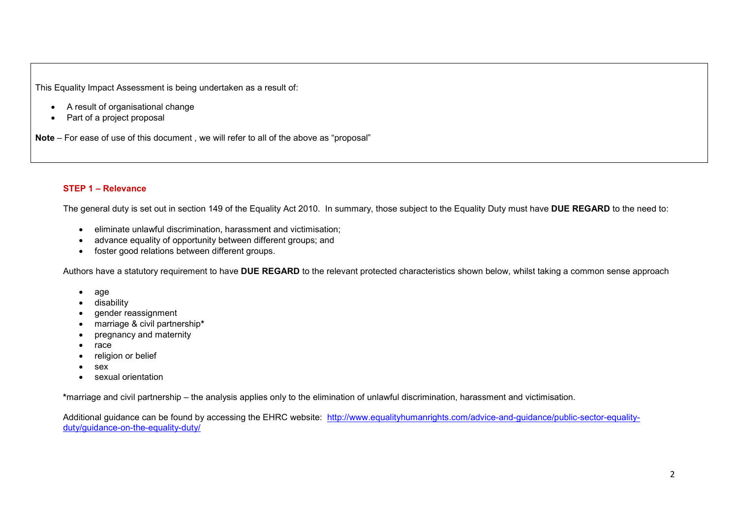This Equality Impact Assessment is being undertaken as a result of:

- A result of organisational change
- Part of a project proposal

**Note** – For ease of use of this document , we will refer to all of the above as "proposal"

## **STEP 1 – Relevance**

The general duty is set out in section 149 of the Equality Act 2010. In summary, those subject to the Equality Duty must have **DUE REGARD** to the need to:

- eliminate unlawful discrimination, harassment and victimisation;
- advance equality of opportunity between different groups; and
- foster good relations between different groups.

Authors have a statutory requirement to have **DUE REGARD** to the relevant protected characteristics shown below, whilst taking a common sense approach

- age
- disability
- gender reassignment
- marriage & civil partnership**\***
- pregnancy and maternity
- race
- religion or belief
- sex
- sexual orientation

**\***marriage and civil partnership – the analysis applies only to the elimination of unlawful discrimination, harassment and victimisation.

Additional guidance can be found by accessing the EHRC website: [http://www.equalityhumanrights.com/advice-and-guidance/public-sector-equality](http://www.equalityhumanrights.com/advice-and-guidance/public-sector-equality-duty/guidance-on-the-equality-duty/)[duty/guidance-on-the-equality-duty/](http://www.equalityhumanrights.com/advice-and-guidance/public-sector-equality-duty/guidance-on-the-equality-duty/)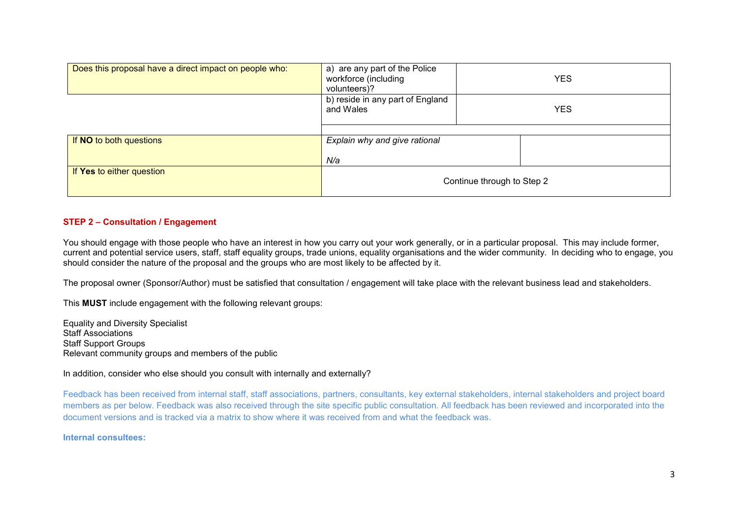| Does this proposal have a direct impact on people who: | a) are any part of the Police<br>workforce (including<br>volunteers)? | <b>YES</b> |
|--------------------------------------------------------|-----------------------------------------------------------------------|------------|
|                                                        | b) reside in any part of England<br>and Wales                         | <b>YES</b> |
|                                                        |                                                                       |            |
| If NO to both questions                                | Explain why and give rational                                         |            |
|                                                        | N/a                                                                   |            |
| If Yes to either question                              | Continue through to Step 2                                            |            |

## **STEP 2 – Consultation / Engagement**

You should engage with those people who have an interest in how you carry out your work generally, or in a particular proposal. This may include former, current and potential service users, staff, staff equality groups, trade unions, equality organisations and the wider community. In deciding who to engage, you should consider the nature of the proposal and the groups who are most likely to be affected by it.

The proposal owner (Sponsor/Author) must be satisfied that consultation / engagement will take place with the relevant business lead and stakeholders.

This **MUST** include engagement with the following relevant groups:

Equality and Diversity Specialist Staff Associations Staff Support Groups Relevant community groups and members of the public

#### In addition, consider who else should you consult with internally and externally?

Feedback has been received from internal staff, staff associations, partners, consultants, key external stakeholders, internal stakeholders and project board members as per below. Feedback was also received through the site specific public consultation. All feedback has been reviewed and incorporated into the document versions and is tracked via a matrix to show where it was received from and what the feedback was.

**Internal consultees:**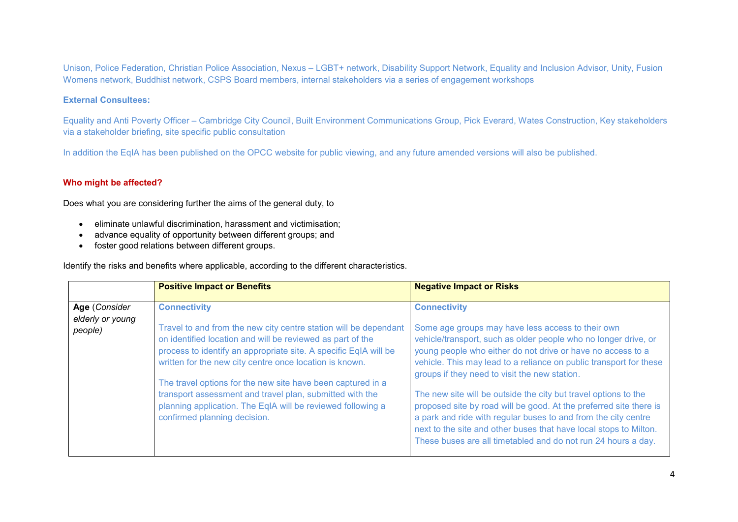Unison, Police Federation, Christian Police Association, Nexus – LGBT+ network, Disability Support Network, Equality and Inclusion Advisor, Unity, Fusion Womens network, Buddhist network, CSPS Board members, internal stakeholders via a series of engagement workshops

#### **External Consultees:**

Equality and Anti Poverty Officer – Cambridge City Council, Built Environment Communications Group, Pick Everard, Wates Construction, Key stakeholders via a stakeholder briefing, site specific public consultation

In addition the EqIA has been published on the OPCC website for public viewing, and any future amended versions will also be published.

## **Who might be affected?**

Does what you are considering further the aims of the general duty, to

- eliminate unlawful discrimination, harassment and victimisation;
- advance equality of opportunity between different groups; and
- foster good relations between different groups.

Identify the risks and benefits where applicable, according to the different characteristics.

|                                              | <b>Positive Impact or Benefits</b>                                                                                                                                                                                                                                                                                                                                                                                                                                                                             | <b>Negative Impact or Risks</b>                                                                                                                                                                                                                                                                                                                                                                                                                                                                                                                                                                                                                                                    |
|----------------------------------------------|----------------------------------------------------------------------------------------------------------------------------------------------------------------------------------------------------------------------------------------------------------------------------------------------------------------------------------------------------------------------------------------------------------------------------------------------------------------------------------------------------------------|------------------------------------------------------------------------------------------------------------------------------------------------------------------------------------------------------------------------------------------------------------------------------------------------------------------------------------------------------------------------------------------------------------------------------------------------------------------------------------------------------------------------------------------------------------------------------------------------------------------------------------------------------------------------------------|
| Age (Consider<br>elderly or young<br>people) | <b>Connectivity</b><br>Travel to and from the new city centre station will be dependant<br>on identified location and will be reviewed as part of the<br>process to identify an appropriate site. A specific EqIA will be<br>written for the new city centre once location is known.<br>The travel options for the new site have been captured in a<br>transport assessment and travel plan, submitted with the<br>planning application. The EqIA will be reviewed following a<br>confirmed planning decision. | <b>Connectivity</b><br>Some age groups may have less access to their own<br>vehicle/transport, such as older people who no longer drive, or<br>young people who either do not drive or have no access to a<br>vehicle. This may lead to a reliance on public transport for these<br>groups if they need to visit the new station.<br>The new site will be outside the city but travel options to the<br>proposed site by road will be good. At the preferred site there is<br>a park and ride with regular buses to and from the city centre<br>next to the site and other buses that have local stops to Milton.<br>These buses are all timetabled and do not run 24 hours a day. |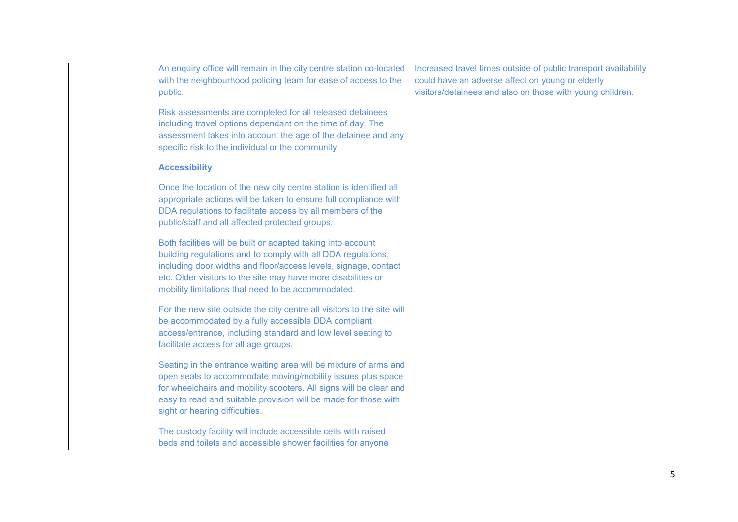| An enquiry office will remain in the city centre station co-located                                                                                                                                                                                                                                                    | Increased travel times outside of public transport availability |
|------------------------------------------------------------------------------------------------------------------------------------------------------------------------------------------------------------------------------------------------------------------------------------------------------------------------|-----------------------------------------------------------------|
| with the neighbourhood policing team for ease of access to the                                                                                                                                                                                                                                                         | could have an adverse affect on young or elderly                |
| public.                                                                                                                                                                                                                                                                                                                | visitors/detainees and also on those with young children.       |
| Risk assessments are completed for all released detainees<br>including travel options dependant on the time of day. The<br>assessment takes into account the age of the detainee and any<br>specific risk to the individual or the community.                                                                          |                                                                 |
| <b>Accessibility</b>                                                                                                                                                                                                                                                                                                   |                                                                 |
| Once the location of the new city centre station is identified all<br>appropriate actions will be taken to ensure full compliance with<br>DDA regulations to facilitate access by all members of the<br>public/staff and all affected protected groups.                                                                |                                                                 |
| Both facilities will be built or adapted taking into account<br>building regulations and to comply with all DDA regulations,<br>including door widths and floor/access levels, signage, contact<br>etc. Older visitors to the site may have more disabilities or<br>mobility limitations that need to be accommodated. |                                                                 |
| For the new site outside the city centre all visitors to the site will<br>be accommodated by a fully accessible DDA compliant<br>access/entrance, including standard and low level seating to<br>facilitate access for all age groups.                                                                                 |                                                                 |
| Seating in the entrance waiting area will be mixture of arms and<br>open seats to accommodate moving/mobility issues plus space<br>for wheelchairs and mobility scooters. All signs will be clear and<br>easy to read and suitable provision will be made for those with<br>sight or hearing difficulties.             |                                                                 |
| The custody facility will include accessible cells with raised<br>beds and toilets and accessible shower facilities for anyone                                                                                                                                                                                         |                                                                 |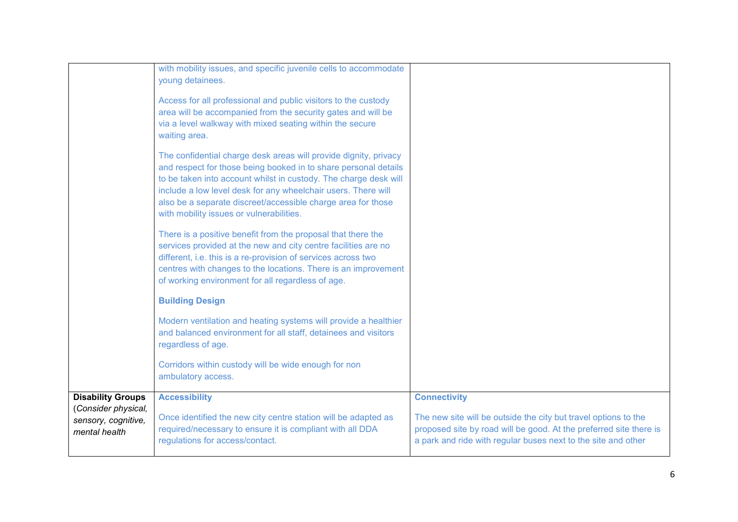| <b>Connectivity</b>                                                                                                                 |
|-------------------------------------------------------------------------------------------------------------------------------------|
|                                                                                                                                     |
| The new site will be outside the city but travel options to the                                                                     |
| proposed site by road will be good. At the preferred site there is<br>a park and ride with regular buses next to the site and other |
|                                                                                                                                     |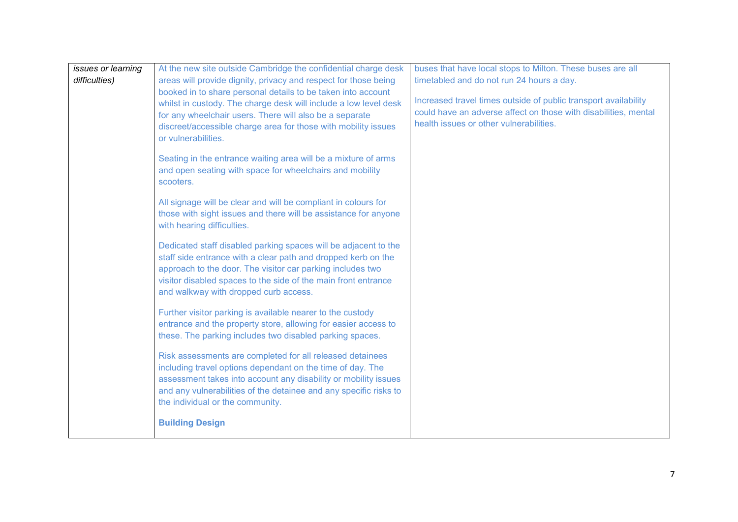| issues or learning                                             | At the new site outside Cambridge the confidential charge desk                                                          | buses that have local stops to Milton. These buses are all      |
|----------------------------------------------------------------|-------------------------------------------------------------------------------------------------------------------------|-----------------------------------------------------------------|
| difficulties)                                                  | areas will provide dignity, privacy and respect for those being                                                         | timetabled and do not run 24 hours a day.                       |
|                                                                | booked in to share personal details to be taken into account                                                            | Increased travel times outside of public transport availability |
|                                                                | whilst in custody. The charge desk will include a low level desk                                                        | could have an adverse affect on those with disabilities, mental |
|                                                                | for any wheelchair users. There will also be a separate                                                                 | health issues or other vulnerabilities.                         |
|                                                                | discreet/accessible charge area for those with mobility issues<br>or vulnerabilities.                                   |                                                                 |
|                                                                |                                                                                                                         |                                                                 |
|                                                                | Seating in the entrance waiting area will be a mixture of arms                                                          |                                                                 |
|                                                                | and open seating with space for wheelchairs and mobility                                                                |                                                                 |
|                                                                | scooters.                                                                                                               |                                                                 |
|                                                                | All signage will be clear and will be compliant in colours for                                                          |                                                                 |
|                                                                | those with sight issues and there will be assistance for anyone                                                         |                                                                 |
|                                                                | with hearing difficulties.                                                                                              |                                                                 |
|                                                                |                                                                                                                         |                                                                 |
|                                                                | Dedicated staff disabled parking spaces will be adjacent to the                                                         |                                                                 |
|                                                                | staff side entrance with a clear path and dropped kerb on the                                                           |                                                                 |
|                                                                | approach to the door. The visitor car parking includes two                                                              |                                                                 |
| visitor disabled spaces to the side of the main front entrance |                                                                                                                         |                                                                 |
|                                                                | and walkway with dropped curb access.                                                                                   |                                                                 |
|                                                                | Further visitor parking is available nearer to the custody                                                              |                                                                 |
|                                                                | entrance and the property store, allowing for easier access to                                                          |                                                                 |
|                                                                | these. The parking includes two disabled parking spaces.                                                                |                                                                 |
|                                                                |                                                                                                                         |                                                                 |
|                                                                | Risk assessments are completed for all released detainees<br>including travel options dependant on the time of day. The |                                                                 |
|                                                                | assessment takes into account any disability or mobility issues                                                         |                                                                 |
|                                                                | and any vulnerabilities of the detainee and any specific risks to                                                       |                                                                 |
|                                                                | the individual or the community.                                                                                        |                                                                 |
|                                                                |                                                                                                                         |                                                                 |
|                                                                | <b>Building Design</b>                                                                                                  |                                                                 |
|                                                                |                                                                                                                         |                                                                 |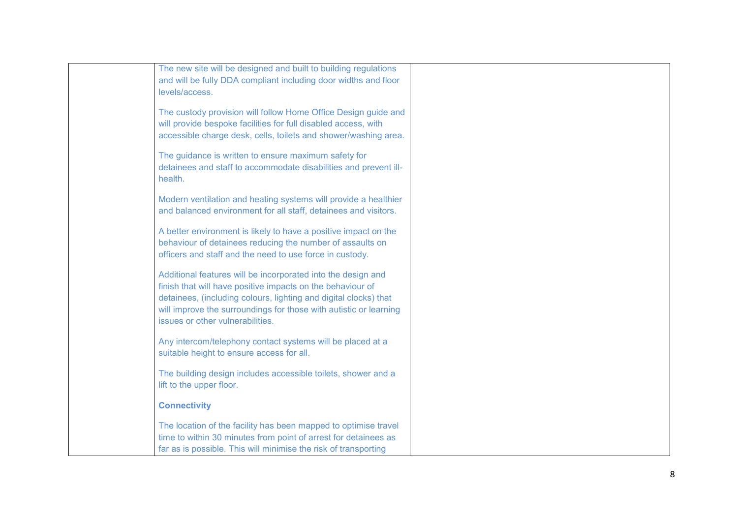| The new site will be designed and built to building regulations<br>and will be fully DDA compliant including door widths and floor<br>levels/access.                                                                                                                                                    |  |
|---------------------------------------------------------------------------------------------------------------------------------------------------------------------------------------------------------------------------------------------------------------------------------------------------------|--|
| The custody provision will follow Home Office Design guide and<br>will provide bespoke facilities for full disabled access, with<br>accessible charge desk, cells, toilets and shower/washing area.                                                                                                     |  |
| The guidance is written to ensure maximum safety for<br>detainees and staff to accommodate disabilities and prevent ill-<br>health.                                                                                                                                                                     |  |
| Modern ventilation and heating systems will provide a healthier<br>and balanced environment for all staff, detainees and visitors.                                                                                                                                                                      |  |
| A better environment is likely to have a positive impact on the<br>behaviour of detainees reducing the number of assaults on<br>officers and staff and the need to use force in custody.                                                                                                                |  |
| Additional features will be incorporated into the design and<br>finish that will have positive impacts on the behaviour of<br>detainees, (including colours, lighting and digital clocks) that<br>will improve the surroundings for those with autistic or learning<br>issues or other vulnerabilities. |  |
| Any intercom/telephony contact systems will be placed at a<br>suitable height to ensure access for all.                                                                                                                                                                                                 |  |
| The building design includes accessible toilets, shower and a<br>lift to the upper floor.                                                                                                                                                                                                               |  |
| <b>Connectivity</b>                                                                                                                                                                                                                                                                                     |  |
| The location of the facility has been mapped to optimise travel<br>time to within 30 minutes from point of arrest for detainees as<br>far as is possible. This will minimise the risk of transporting                                                                                                   |  |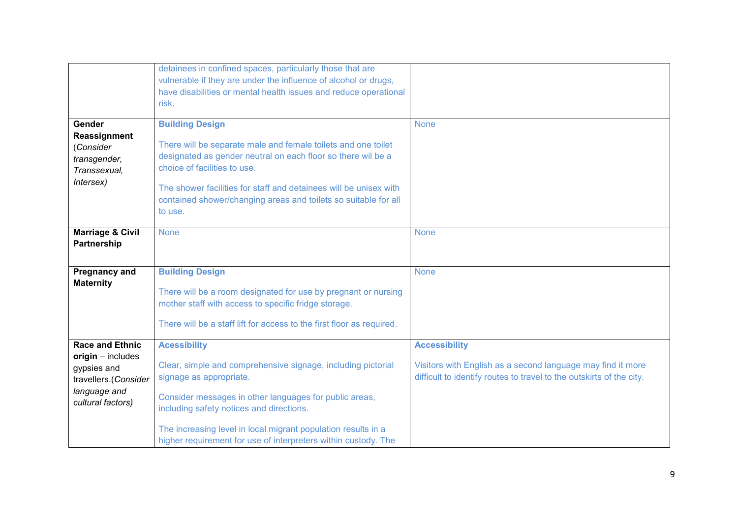|                             | detainees in confined spaces, particularly those that are                                                                       |                                                             |
|-----------------------------|---------------------------------------------------------------------------------------------------------------------------------|-------------------------------------------------------------|
|                             | vulnerable if they are under the influence of alcohol or drugs,                                                                 |                                                             |
|                             | have disabilities or mental health issues and reduce operational                                                                |                                                             |
|                             | risk.                                                                                                                           |                                                             |
|                             |                                                                                                                                 |                                                             |
| Gender                      | <b>Building Design</b>                                                                                                          | <b>None</b>                                                 |
| Reassignment                | There will be separate male and female toilets and one toilet                                                                   |                                                             |
| (Consider                   | designated as gender neutral on each floor so there wil be a                                                                    |                                                             |
| transgender,                | choice of facilities to use.                                                                                                    |                                                             |
| Transsexual,                |                                                                                                                                 |                                                             |
| Intersex)                   | The shower facilities for staff and detainees will be unisex with                                                               |                                                             |
|                             | contained shower/changing areas and toilets so suitable for all                                                                 |                                                             |
|                             | to use.                                                                                                                         |                                                             |
|                             |                                                                                                                                 |                                                             |
| <b>Marriage &amp; Civil</b> | <b>None</b>                                                                                                                     | <b>None</b>                                                 |
| Partnership                 |                                                                                                                                 |                                                             |
|                             |                                                                                                                                 |                                                             |
| <b>Pregnancy and</b>        | <b>Building Design</b>                                                                                                          | <b>None</b>                                                 |
| <b>Maternity</b>            |                                                                                                                                 |                                                             |
|                             | There will be a room designated for use by pregnant or nursing                                                                  |                                                             |
|                             | mother staff with access to specific fridge storage.                                                                            |                                                             |
|                             |                                                                                                                                 |                                                             |
|                             | There will be a staff lift for access to the first floor as required.                                                           |                                                             |
| <b>Race and Ethnic</b>      | <b>Acessibility</b>                                                                                                             | <b>Accessibility</b>                                        |
| $origin - includes$         |                                                                                                                                 |                                                             |
| gypsies and                 | Clear, simple and comprehensive signage, including pictorial                                                                    | Visitors with English as a second language may find it more |
| travellers.(Consider        | difficult to identify routes to travel to the outskirts of the city.<br>signage as appropriate.                                 |                                                             |
| language and                |                                                                                                                                 |                                                             |
|                             |                                                                                                                                 |                                                             |
|                             | Consider messages in other languages for public areas,                                                                          |                                                             |
| cultural factors)           | including safety notices and directions.                                                                                        |                                                             |
|                             |                                                                                                                                 |                                                             |
|                             | The increasing level in local migrant population results in a<br>higher requirement for use of interpreters within custody. The |                                                             |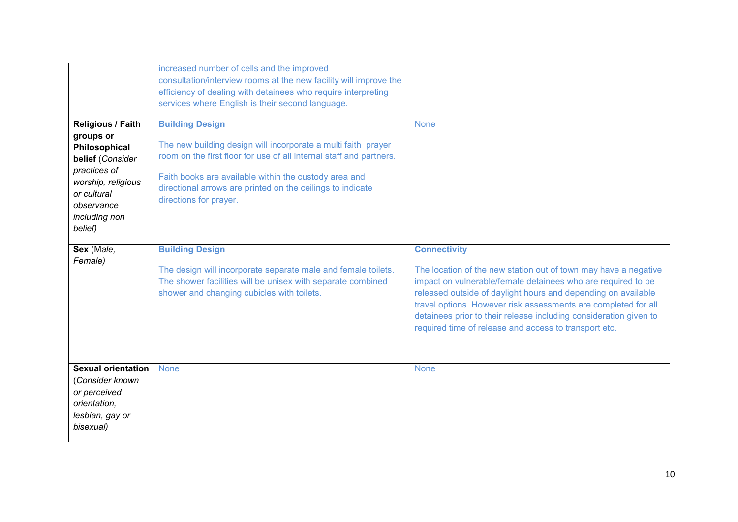|                                                                                                                                                                    | increased number of cells and the improved<br>consultation/interview rooms at the new facility will improve the<br>efficiency of dealing with detainees who require interpreting<br>services where English is their second language.                                                                            |                                                                                                                                                                                                                                                                                                                                                                                                                         |
|--------------------------------------------------------------------------------------------------------------------------------------------------------------------|-----------------------------------------------------------------------------------------------------------------------------------------------------------------------------------------------------------------------------------------------------------------------------------------------------------------|-------------------------------------------------------------------------------------------------------------------------------------------------------------------------------------------------------------------------------------------------------------------------------------------------------------------------------------------------------------------------------------------------------------------------|
| Religious / Faith<br>groups or<br>Philosophical<br>belief (Consider<br>practices of<br>worship, religious<br>or cultural<br>observance<br>including non<br>belief) | <b>Building Design</b><br>The new building design will incorporate a multi faith prayer<br>room on the first floor for use of all internal staff and partners.<br>Faith books are available within the custody area and<br>directional arrows are printed on the ceilings to indicate<br>directions for prayer. | <b>None</b>                                                                                                                                                                                                                                                                                                                                                                                                             |
| Sex (Male,<br>Female)                                                                                                                                              | <b>Building Design</b><br>The design will incorporate separate male and female toilets.<br>The shower facilities will be unisex with separate combined<br>shower and changing cubicles with toilets.                                                                                                            | <b>Connectivity</b><br>The location of the new station out of town may have a negative<br>impact on vulnerable/female detainees who are required to be<br>released outside of daylight hours and depending on available<br>travel options. However risk assessments are completed for all<br>detainees prior to their release including consideration given to<br>required time of release and access to transport etc. |
| <b>Sexual orientation</b><br>(Consider known<br>or perceived<br>orientation,<br>lesbian, gay or<br>bisexual)                                                       | <b>None</b>                                                                                                                                                                                                                                                                                                     | <b>None</b>                                                                                                                                                                                                                                                                                                                                                                                                             |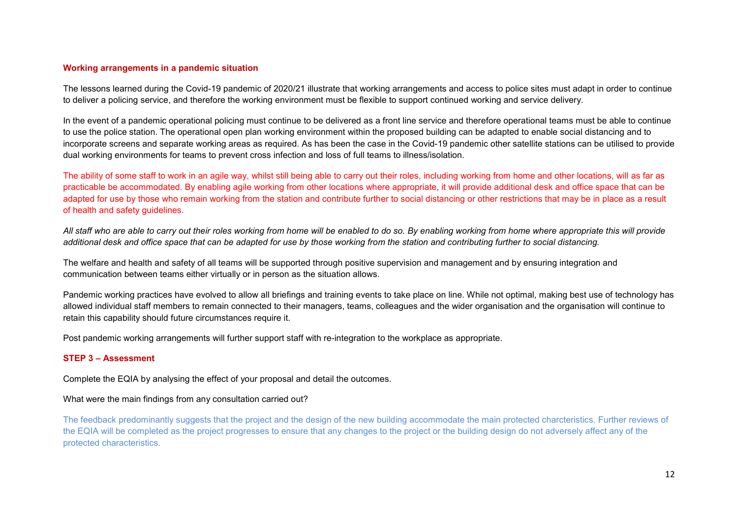#### **Working arrangements in a pandemic situation**

The lessons learned during the Covid-19 pandemic of 2020/21 illustrate that working arrangements and access to police sites must adapt in order to continue to deliver a policing service, and therefore the working environment must be flexible to support continued working and service delivery.

In the event of a pandemic operational policing must continue to be delivered as a front line service and therefore operational teams must be able to continue to use the police station. The operational open plan working environment within the proposed building can be adapted to enable social distancing and to incorporate screens and separate working areas as required. As has been the case in the Covid-19 pandemic other satellite stations can be utilised to provide dual working environments for teams to prevent cross infection and loss of full teams to illness/isolation.

The ability of some staff to work in an agile way, whilst still being able to carry out their roles, including working from home and other locations, will as far as practicable be accommodated. By enabling agile working from other locations where appropriate, it will provide additional desk and office space that can be adapted for use by those who remain working from the station and contribute further to social distancing or other restrictions that may be in place as a result of health and safety guidelines.

*All staff who are able to carry out their roles working from home will be enabled to do so. By enabling working from home where appropriate this will provide*  additional desk and office space that can be adapted for use by those working from the station and contributing further to social distancing.

The welfare and health and safety of all teams will be supported through positive supervision and management and by ensuring integration and communication between teams either virtually or in person as the situation allows.

Pandemic working practices have evolved to allow all briefings and training events to take place on line. While not optimal, making best use of technology has allowed individual staff members to remain connected to their managers, teams, colleagues and the wider organisation and the organisation will continue to retain this capability should future circumstances require it.

Post pandemic working arrangements will further support staff with re-integration to the workplace as appropriate.

## **STEP 3 – Assessment**

Complete the EQIA by analysing the effect of your proposal and detail the outcomes.

## What were the main findings from any consultation carried out?

The feedback predominantly suggests that the project and the design of the new building accommodate the main protected charcteristics. Further reviews of the EQIA will be completed as the project progresses to ensure that any changes to the project or the building design do not adversely affect any of the protected characteristics.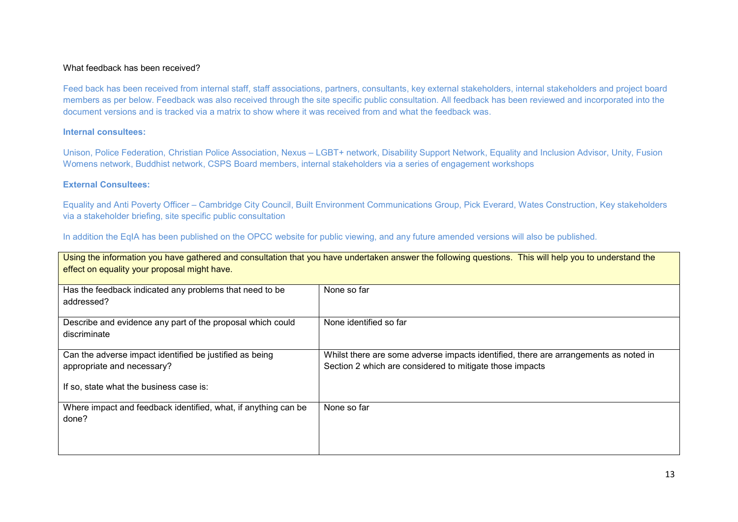#### What feedback has been received?

Feed back has been received from internal staff, staff associations, partners, consultants, key external stakeholders, internal stakeholders and project board members as per below. Feedback was also received through the site specific public consultation. All feedback has been reviewed and incorporated into the document versions and is tracked via a matrix to show where it was received from and what the feedback was.

#### **Internal consultees:**

Unison, Police Federation, Christian Police Association, Nexus – LGBT+ network, Disability Support Network, Equality and Inclusion Advisor, Unity, Fusion Womens network, Buddhist network, CSPS Board members, internal stakeholders via a series of engagement workshops

## **External Consultees:**

Equality and Anti Poverty Officer – Cambridge City Council, Built Environment Communications Group, Pick Everard, Wates Construction, Key stakeholders via a stakeholder briefing, site specific public consultation

In addition the EqIA has been published on the OPCC website for public viewing, and any future amended versions will also be published.

| Using the information you have gathered and consultation that you have undertaken answer the following questions. This will help you to understand the<br>effect on equality your proposal might have. |                                                                                                                                                  |  |
|--------------------------------------------------------------------------------------------------------------------------------------------------------------------------------------------------------|--------------------------------------------------------------------------------------------------------------------------------------------------|--|
| Has the feedback indicated any problems that need to be<br>addressed?                                                                                                                                  | None so far                                                                                                                                      |  |
| Describe and evidence any part of the proposal which could<br>discriminate                                                                                                                             | None identified so far                                                                                                                           |  |
| Can the adverse impact identified be justified as being<br>appropriate and necessary?                                                                                                                  | Whilst there are some adverse impacts identified, there are arrangements as noted in<br>Section 2 which are considered to mitigate those impacts |  |
| If so, state what the business case is:                                                                                                                                                                |                                                                                                                                                  |  |
| Where impact and feedback identified, what, if anything can be<br>done?                                                                                                                                | None so far                                                                                                                                      |  |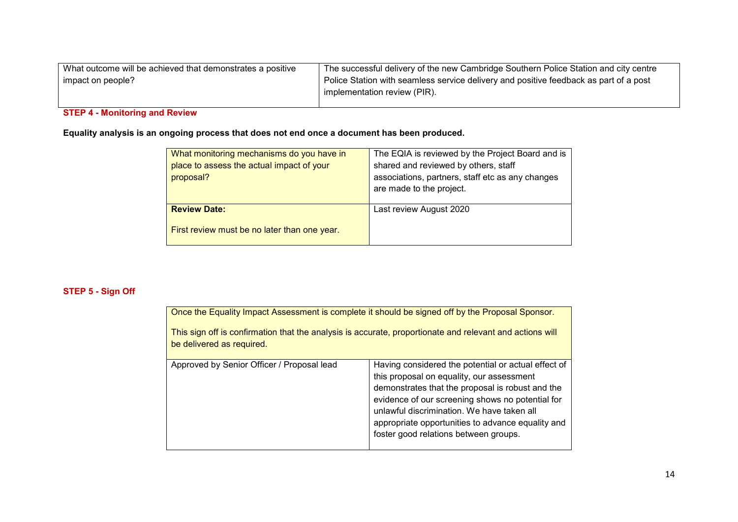| What outcome will be achieved that demonstrates a positive | $\,$ The successful delivery of the new Cambridge Southern Police Station and city centre $\,$ |
|------------------------------------------------------------|------------------------------------------------------------------------------------------------|
| impact on people?                                          | Police Station with seamless service delivery and positive feedback as part of a post          |
|                                                            | implementation review (PIR).                                                                   |
|                                                            |                                                                                                |

# **STEP 4 - Monitoring and Review**

**Equality analysis is an ongoing process that does not end once a document has been produced.** 

| What monitoring mechanisms do you have in    | The EQIA is reviewed by the Project Board and is |
|----------------------------------------------|--------------------------------------------------|
| place to assess the actual impact of your    | shared and reviewed by others, staff             |
| proposal?                                    | associations, partners, staff etc as any changes |
|                                              | are made to the project.                         |
|                                              |                                                  |
| <b>Review Date:</b>                          | Last review August 2020                          |
| First review must be no later than one year. |                                                  |
|                                              |                                                  |

## **STEP 5 - Sign Off**

| Once the Equality Impact Assessment is complete it should be signed off by the Proposal Sponsor.<br>This sign off is confirmation that the analysis is accurate, proportionate and relevant and actions will<br>be delivered as required. |                                                                                                                                                                                                                                                                                                                                                      |  |
|-------------------------------------------------------------------------------------------------------------------------------------------------------------------------------------------------------------------------------------------|------------------------------------------------------------------------------------------------------------------------------------------------------------------------------------------------------------------------------------------------------------------------------------------------------------------------------------------------------|--|
| Approved by Senior Officer / Proposal lead                                                                                                                                                                                                | Having considered the potential or actual effect of<br>this proposal on equality, our assessment<br>demonstrates that the proposal is robust and the<br>evidence of our screening shows no potential for<br>unlawful discrimination. We have taken all<br>appropriate opportunities to advance equality and<br>foster good relations between groups. |  |